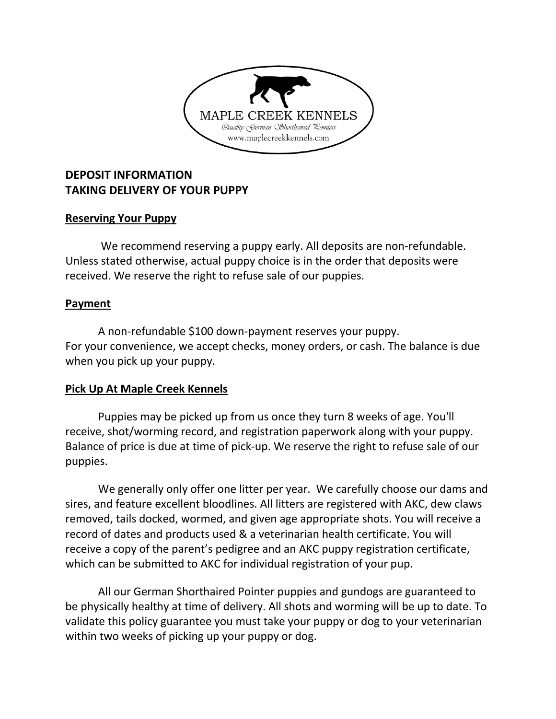

# **DEPOSIT INFORMATION TAKING DELIVERY OF YOUR PUPPY**

### **Reserving Your Puppy**

We recommend reserving a puppy early. All deposits are non-refundable. Unless stated otherwise, actual puppy choice is in the order that deposits were received. We reserve the right to refuse sale of our puppies.

### **Payment**

A non-refundable \$100 down-payment reserves your puppy. For your convenience, we accept checks, money orders, or cash. The balance is due when you pick up your puppy.

## **Pick Up At Maple Creek Kennels**

Puppies may be picked up from us once they turn 8 weeks of age. You'll receive, shot/worming record, and registration paperwork along with your puppy. Balance of price is due at time of pick-up. We reserve the right to refuse sale of our puppies.

We generally only offer one litter per year. We carefully choose our dams and sires, and feature excellent bloodlines. All litters are registered with AKC, dew claws removed, tails docked, wormed, and given age appropriate shots. You will receive a record of dates and products used & a veterinarian health certificate. You will receive a copy of the parent's pedigree and an AKC puppy registration certificate, which can be submitted to AKC for individual registration of your pup.

All our German Shorthaired Pointer puppies and gundogs are guaranteed to be physically healthy at time of delivery. All shots and worming will be up to date. To validate this policy guarantee you must take your puppy or dog to your veterinarian within two weeks of picking up your puppy or dog.